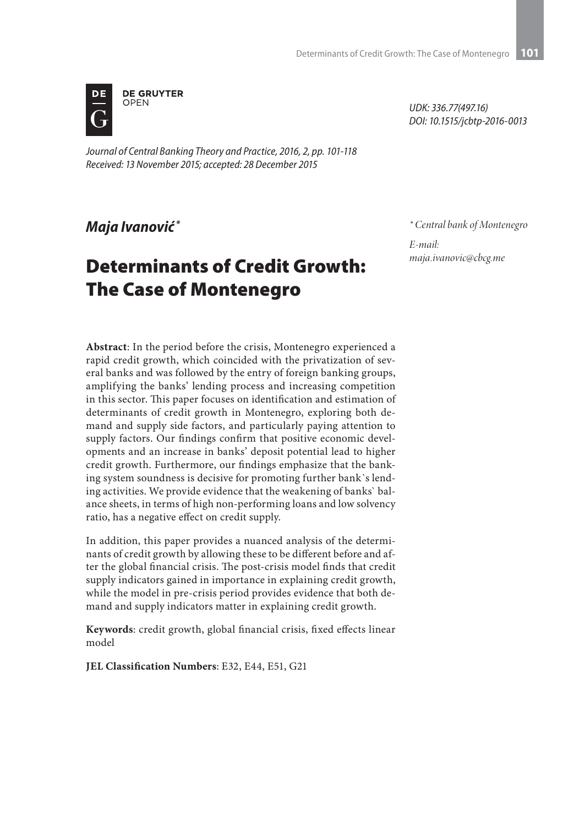

*Journal of Central Banking Theory and Practice, 2016, 2, pp. 101-118 Received: 13 November 2015; accepted: 28 December 2015*

*\* Central bank of Montenegro*

*E-mail: maja.ivanovic@cbcg.me*

*UDK: 336.77(497.16) DOI: 10.1515/jcbtp-2016-0013*

#### *Maja Ivanović \**

# Determinants of Credit Growth: The Case of Montenegro

**Abstract**: In the period before the crisis, Montenegro experienced a rapid credit growth, which coincided with the privatization of several banks and was followed by the entry of foreign banking groups, amplifying the banks' lending process and increasing competition in this sector. This paper focuses on identification and estimation of determinants of credit growth in Montenegro, exploring both demand and supply side factors, and particularly paying attention to supply factors. Our findings confirm that positive economic developments and an increase in banks' deposit potential lead to higher credit growth. Furthermore, our findings emphasize that the banking system soundness is decisive for promoting further bank`s lending activities. We provide evidence that the weakening of banks` balance sheets, in terms of high non-performing loans and low solvency ratio, has a negative effect on credit supply.

In addition, this paper provides a nuanced analysis of the determinants of credit growth by allowing these to be different before and after the global financial crisis. The post-crisis model finds that credit supply indicators gained in importance in explaining credit growth, while the model in pre-crisis period provides evidence that both demand and supply indicators matter in explaining credit growth.

**Keywords**: credit growth, global financial crisis, fixed effects linear model

**JEL Classification Numbers**: E32, E44, E51, G21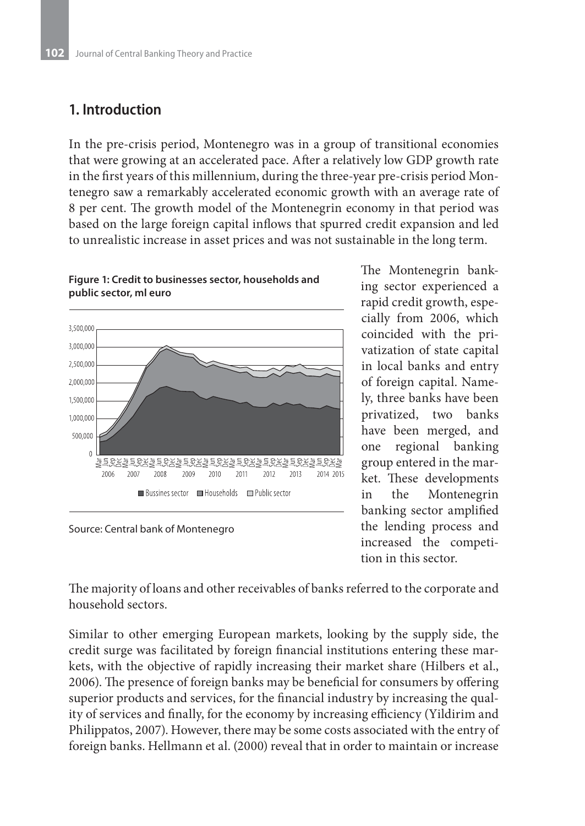### **1. Introduction**

In the pre-crisis period, Montenegro was in a group of transitional economies that were growing at an accelerated pace. After a relatively low GDP growth rate in the first years of this millennium, during the three-year pre-crisis period Montenegro saw a remarkably accelerated economic growth with an average rate of 8 per cent. The growth model of the Montenegrin economy in that period was based on the large foreign capital inflows that spurred credit expansion and led to unrealistic increase in asset prices and was not sustainable in the long term.



**Figure 1: Credit to businesses sector, households and public sector, ml euro** 

Source: Central bank of Montenegro

The Montenegrin banking sector experienced a rapid credit growth, especially from 2006, which coincided with the privatization of state capital in local banks and entry of foreign capital. Namely, three banks have been privatized, two banks have been merged, and one regional banking group entered in the market. These developments in the Montenegrin banking sector amplified the lending process and increased the competition in this sector.

The majority of loans and other receivables of banks referred to the corporate and household sectors.

Similar to other emerging European markets, looking by the supply side, the credit surge was facilitated by foreign financial institutions entering these markets, with the objective of rapidly increasing their market share (Hilbers et al., 2006). The presence of foreign banks may be beneficial for consumers by offering superior products and services, for the financial industry by increasing the quality of services and finally, for the economy by increasing efficiency (Yildirim and Philippatos, 2007). However, there may be some costs associated with the entry of foreign banks. Hellmann et al. (2000) reveal that in order to maintain or increase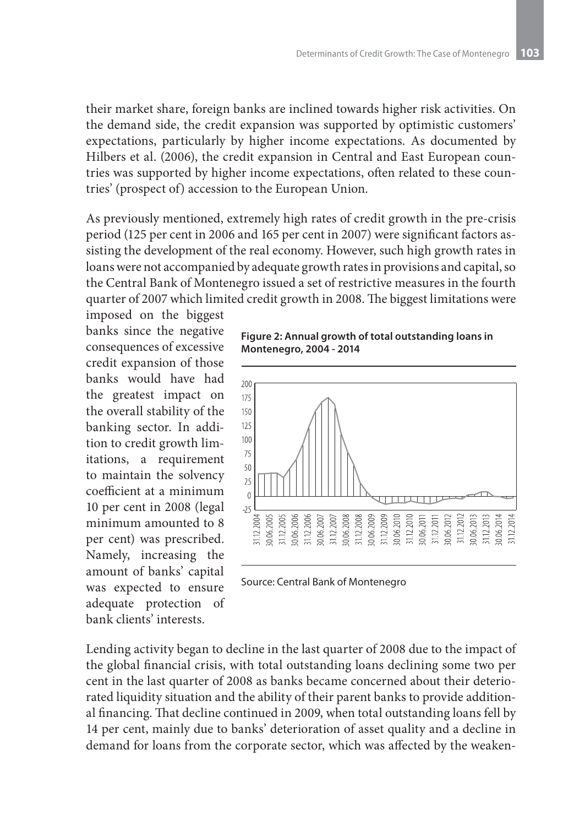their market share, foreign banks are inclined towards higher risk activities. On the demand side, the credit expansion was supported by optimistic customers' expectations, particularly by higher income expectations. As documented by Hilbers et al. (2006), the credit expansion in Central and East European countries was supported by higher income expectations, often related to these countries' (prospect of) accession to the European Union.

As previously mentioned, extremely high rates of credit growth in the pre-crisis period (125 per cent in 2006 and 165 per cent in 2007) were significant factors assisting the development of the real economy. However, such high growth rates in loans were not accompanied by adequate growth rates in provisions and capital, so the Central Bank of Montenegro issued a set of restrictive measures in the fourth quarter of 2007 which limited credit growth in 2008. The biggest limitations were

imposed on the biggest banks since the negative consequences of excessive credit expansion of those banks would have had the greatest impact on the overall stability of the banking sector. In addition to credit growth limitations, a requirement to maintain the solvency coefficient at a minimum 10 per cent in 2008 (legal minimum amounted to 8 per cent) was prescribed. Namely, increasing the amount of banks' capital was expected to ensure adequate protection of bank clients' interests.

**Figure 2: Annual growth of total outstanding loans in Montenegro, 2004 - 2014**



Source: Central Bank of Montenegro

Lending activity began to decline in the last quarter of 2008 due to the impact of the global financial crisis, with total outstanding loans declining some two per cent in the last quarter of 2008 as banks became concerned about their deteriorated liquidity situation and the ability of their parent banks to provide additional financing. That decline continued in 2009, when total outstanding loans fell by 14 per cent, mainly due to banks' deterioration of asset quality and a decline in demand for loans from the corporate sector, which was affected by the weaken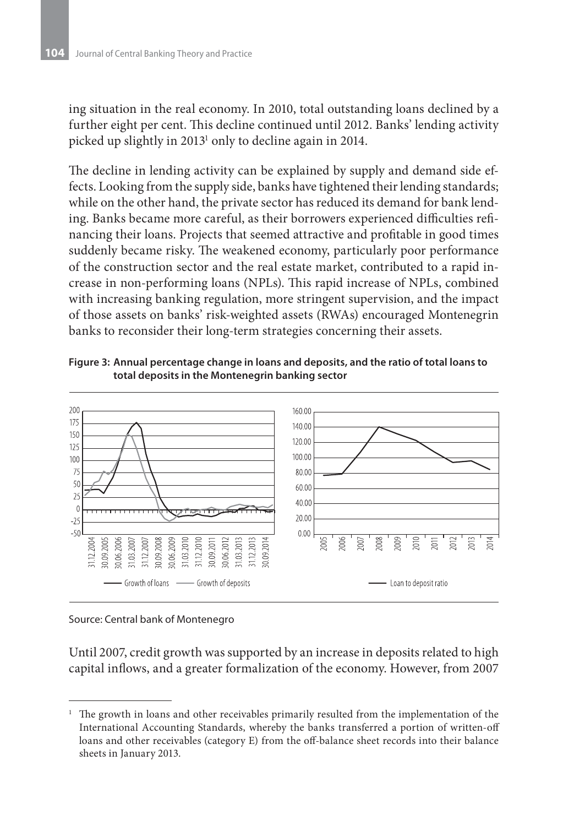ing situation in the real economy. In 2010, total outstanding loans declined by a further eight per cent. This decline continued until 2012. Banks' lending activity picked up slightly in 2013<sup>1</sup> only to decline again in 2014.

The decline in lending activity can be explained by supply and demand side effects. Looking from the supply side, banks have tightened their lending standards; while on the other hand, the private sector has reduced its demand for bank lending. Banks became more careful, as their borrowers experienced difficulties refinancing their loans. Projects that seemed attractive and profitable in good times suddenly became risky. The weakened economy, particularly poor performance of the construction sector and the real estate market, contributed to a rapid increase in non-performing loans (NPLs). This rapid increase of NPLs, combined with increasing banking regulation, more stringent supervision, and the impact of those assets on banks' risk-weighted assets (RWAs) encouraged Montenegrin banks to reconsider their long-term strategies concerning their assets.





Source: Central bank of Montenegro

Until 2007, credit growth was supported by an increase in deposits related to high capital inflows, and a greater formalization of the economy. However, from 2007

<sup>1</sup> The growth in loans and other receivables primarily resulted from the implementation of the International Accounting Standards, whereby the banks transferred a portion of written-off loans and other receivables (category E) from the off-balance sheet records into their balance sheets in January 2013.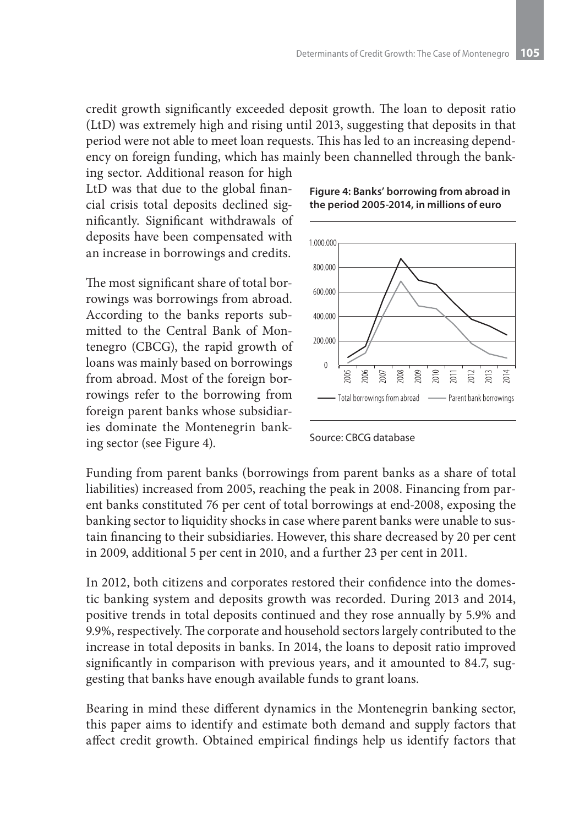credit growth significantly exceeded deposit growth. The loan to deposit ratio (LtD) was extremely high and rising until 2013, suggesting that deposits in that period were not able to meet loan requests. This has led to an increasing dependency on foreign funding, which has mainly been channelled through the bank-

ing sector. Additional reason for high LtD was that due to the global financial crisis total deposits declined significantly. Significant withdrawals of deposits have been compensated with an increase in borrowings and credits.

The most significant share of total borrowings was borrowings from abroad. According to the banks reports submitted to the Central Bank of Montenegro (CBCG), the rapid growth of loans was mainly based on borrowings from abroad. Most of the foreign borrowings refer to the borrowing from foreign parent banks whose subsidiaries dominate the Montenegrin banking sector (see Figure 4).





Source: CBCG database

Funding from parent banks (borrowings from parent banks as a share of total liabilities) increased from 2005, reaching the peak in 2008. Financing from parent banks constituted 76 per cent of total borrowings at end-2008, exposing the banking sector to liquidity shocks in case where parent banks were unable to sustain financing to their subsidiaries. However, this share decreased by 20 per cent in 2009, additional 5 per cent in 2010, and a further 23 per cent in 2011.

In 2012, both citizens and corporates restored their confidence into the domestic banking system and deposits growth was recorded. During 2013 and 2014, positive trends in total deposits continued and they rose annually by 5.9% and 9.9%, respectively. The corporate and household sectors largely contributed to the increase in total deposits in banks. In 2014, the loans to deposit ratio improved significantly in comparison with previous years, and it amounted to 84.7, suggesting that banks have enough available funds to grant loans.

Bearing in mind these different dynamics in the Montenegrin banking sector, this paper aims to identify and estimate both demand and supply factors that affect credit growth. Obtained empirical findings help us identify factors that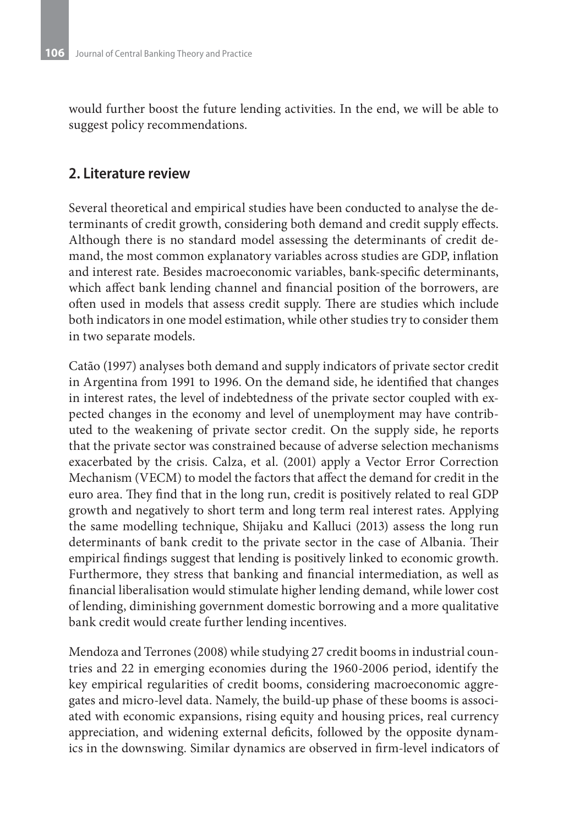would further boost the future lending activities. In the end, we will be able to suggest policy recommendations.

#### **2. Literature review**

Several theoretical and empirical studies have been conducted to analyse the determinants of credit growth, considering both demand and credit supply effects. Although there is no standard model assessing the determinants of credit demand, the most common explanatory variables across studies are GDP, inflation and interest rate. Besides macroeconomic variables, bank-specific determinants, which affect bank lending channel and financial position of the borrowers, are often used in models that assess credit supply. There are studies which include both indicators in one model estimation, while other studies try to consider them in two separate models.

Catão (1997) analyses both demand and supply indicators of private sector credit in Argentina from 1991 to 1996. On the demand side, he identified that changes in interest rates, the level of indebtedness of the private sector coupled with expected changes in the economy and level of unemployment may have contributed to the weakening of private sector credit. On the supply side, he reports that the private sector was constrained because of adverse selection mechanisms exacerbated by the crisis. Calza, et al. (2001) apply a Vector Error Correction Mechanism (VECM) to model the factors that affect the demand for credit in the euro area. They find that in the long run, credit is positively related to real GDP growth and negatively to short term and long term real interest rates. Applying the same modelling technique, Shijaku and Kalluci (2013) assess the long run determinants of bank credit to the private sector in the case of Albania. Their empirical findings suggest that lending is positively linked to economic growth. Furthermore, they stress that banking and financial intermediation, as well as financial liberalisation would stimulate higher lending demand, while lower cost of lending, diminishing government domestic borrowing and a more qualitative bank credit would create further lending incentives.

Mendoza and Terrones (2008) while studying 27 credit booms in industrial countries and 22 in emerging economies during the 1960-2006 period, identify the key empirical regularities of credit booms, considering macroeconomic aggregates and micro-level data. Namely, the build-up phase of these booms is associated with economic expansions, rising equity and housing prices, real currency appreciation, and widening external deficits, followed by the opposite dynamics in the downswing. Similar dynamics are observed in firm-level indicators of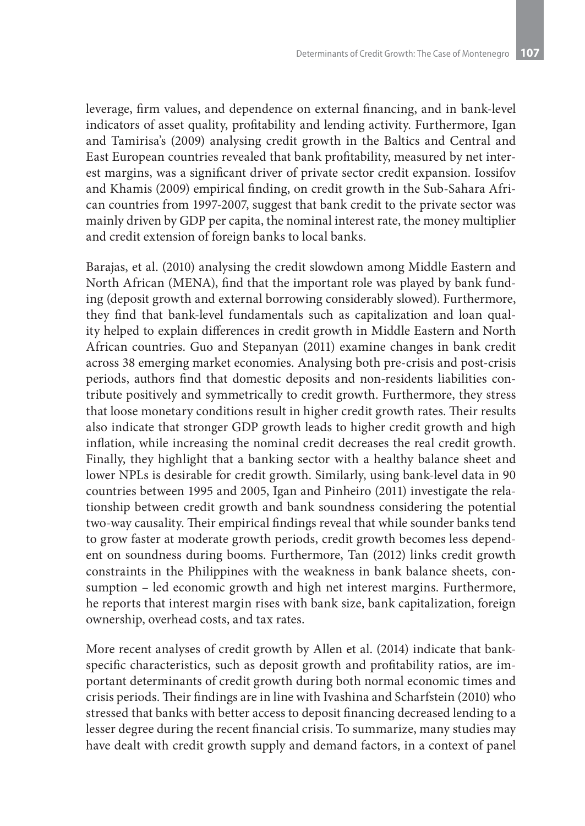leverage, firm values, and dependence on external financing, and in bank-level indicators of asset quality, profitability and lending activity. Furthermore, Igan and Tamirisa's (2009) analysing credit growth in the Baltics and Central and East European countries revealed that bank profitability, measured by net interest margins, was a significant driver of private sector credit expansion. Iossifov and Khamis (2009) empirical finding, on credit growth in the Sub-Sahara African countries from 1997-2007, suggest that bank credit to the private sector was mainly driven by GDP per capita, the nominal interest rate, the money multiplier and credit extension of foreign banks to local banks.

Barajas, et al. (2010) analysing the credit slowdown among Middle Eastern and North African (MENA), find that the important role was played by bank funding (deposit growth and external borrowing considerably slowed). Furthermore, they find that bank-level fundamentals such as capitalization and loan quality helped to explain differences in credit growth in Middle Eastern and North African countries. Guo and Stepanyan (2011) examine changes in bank credit across 38 emerging market economies. Analysing both pre-crisis and post-crisis periods, authors find that domestic deposits and non-residents liabilities contribute positively and symmetrically to credit growth. Furthermore, they stress that loose monetary conditions result in higher credit growth rates. Their results also indicate that stronger GDP growth leads to higher credit growth and high inflation, while increasing the nominal credit decreases the real credit growth. Finally, they highlight that a banking sector with a healthy balance sheet and lower NPLs is desirable for credit growth. Similarly, using bank-level data in 90 countries between 1995 and 2005, Igan and Pinheiro (2011) investigate the relationship between credit growth and bank soundness considering the potential two-way causality. Their empirical findings reveal that while sounder banks tend to grow faster at moderate growth periods, credit growth becomes less dependent on soundness during booms. Furthermore, Tan (2012) links credit growth constraints in the Philippines with the weakness in bank balance sheets, consumption – led economic growth and high net interest margins. Furthermore, he reports that interest margin rises with bank size, bank capitalization, foreign ownership, overhead costs, and tax rates.

More recent analyses of credit growth by Allen et al. (2014) indicate that bankspecific characteristics, such as deposit growth and profitability ratios, are important determinants of credit growth during both normal economic times and crisis periods. Their findings are in line with Ivashina and Scharfstein (2010) who stressed that banks with better access to deposit financing decreased lending to a lesser degree during the recent financial crisis. To summarize, many studies may have dealt with credit growth supply and demand factors, in a context of panel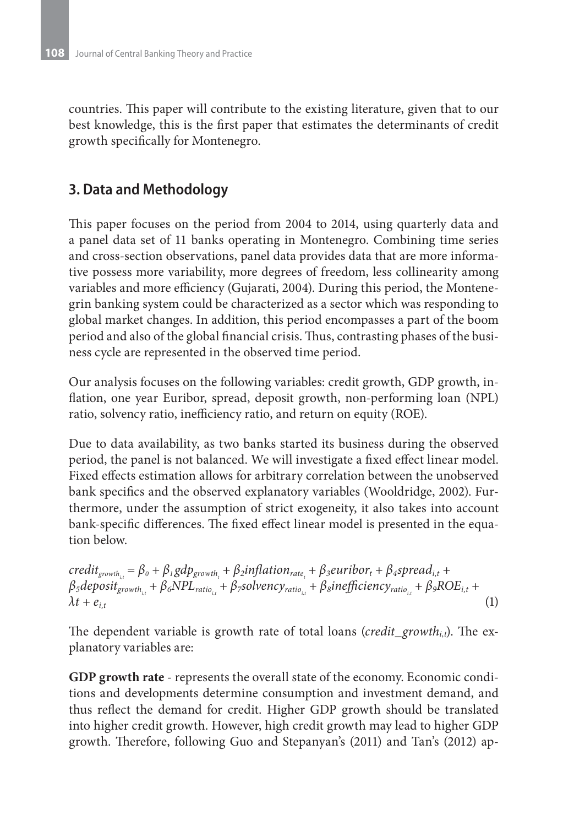countries. This paper will contribute to the existing literature, given that to our best knowledge, this is the first paper that estimates the determinants of credit growth specifically for Montenegro.

## **3. Data and Methodology**

This paper focuses on the period from 2004 to 2014, using quarterly data and a panel data set of 11 banks operating in Montenegro. Combining time series and cross-section observations, panel data provides data that are more informative possess more variability, more degrees of freedom, less collinearity among variables and more efficiency (Gujarati, 2004). During this period, the Montenegrin banking system could be characterized as a sector which was responding to global market changes. In addition, this period encompasses a part of the boom period and also of the global financial crisis. Thus, contrasting phases of the business cycle are represented in the observed time period.

Our analysis focuses on the following variables: credit growth, GDP growth, inflation, one year Euribor, spread, deposit growth, non-performing loan (NPL) ratio, solvency ratio, inefficiency ratio, and return on equity (ROE).

Due to data availability, as two banks started its business during the observed period, the panel is not balanced. We will investigate a fixed effect linear model. Fixed effects estimation allows for arbitrary correlation between the unobserved bank specifics and the observed explanatory variables (Wooldridge, 2002). Furthermore, under the assumption of strict exogeneity, it also takes into account bank-specific differences. The fixed effect linear model is presented in the equation below.

 $\text{credit}_{\text{growth}_{i,t}} = \beta_o + \beta_1 \text{gdp}_{\text{growth}_{t}} + \beta_2 \text{inflation}_{\text{rate}_{t}} + \beta_3 \text{curibor}_{t} + \beta_4 \text{spread}_{i,t} + \beta_4 \text{speed}_{t} + \beta_5 \text{pred}_{t} + \beta_6 \text{pred}_{t} + \beta_7 \text{pred}_{t} + \beta_8 \text{pred}_{t} + \beta_9 \text{pred}_{t} + \beta_9 \text{pred}_{t} + \beta_9 \text{pred}_{t} + \beta_9 \text{pred}_{t} + \beta_9 \text{pred}_{t} + \beta_{t} \text{pred}_{t} + \beta_{t} \$ *β<sub>5</sub>deposit<sub>growth<sub>i,t</sub></sub> + β<sub>6</sub>NPL<sub>ratio</sup><sub>i,t</sub> + β<sub>7</sub>solvency<sub>ratio</sup><sub>i,t</sub> + β<sub>8</sub>inefficiency<sub>ratio</sup><sub>i,t</sub> + β<sub>9</sub>ROE<sub>i,t</sub> +*</sub></sub></sub>  $\lambda t + e_{i,t}$  (1)

The dependent variable is growth rate of total loans (*credit\_growthi,t*). The explanatory variables are:

**GDP growth rate** - represents the overall state of the economy. Economic conditions and developments determine consumption and investment demand, and thus reflect the demand for credit. Higher GDP growth should be translated into higher credit growth. However, high credit growth may lead to higher GDP growth. Therefore, following Guo and Stepanyan's (2011) and Tan's (2012) ap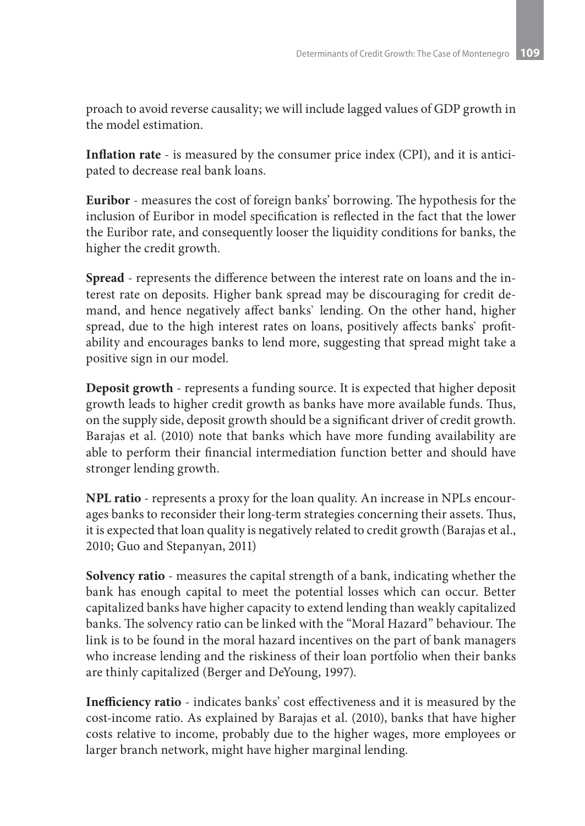proach to avoid reverse causality; we will include lagged values of GDP growth in the model estimation.

**Inflation rate** - is measured by the consumer price index (CPI), and it is anticipated to decrease real bank loans.

**Euribor** - measures the cost of foreign banks' borrowing. The hypothesis for the inclusion of Euribor in model specification is reflected in the fact that the lower the Euribor rate, and consequently looser the liquidity conditions for banks, the higher the credit growth.

**Spread** - represents the difference between the interest rate on loans and the interest rate on deposits. Higher bank spread may be discouraging for credit demand, and hence negatively affect banks` lending. On the other hand, higher spread, due to the high interest rates on loans, positively affects banks` profitability and encourages banks to lend more, suggesting that spread might take a positive sign in our model.

**Deposit growth** - represents a funding source. It is expected that higher deposit growth leads to higher credit growth as banks have more available funds. Thus, on the supply side, deposit growth should be a significant driver of credit growth. Barajas et al. (2010) note that banks which have more funding availability are able to perform their financial intermediation function better and should have stronger lending growth.

**NPL ratio** - represents a proxy for the loan quality. An increase in NPLs encourages banks to reconsider their long-term strategies concerning their assets. Thus, it is expected that loan quality is negatively related to credit growth (Barajas et al., 2010; Guo and Stepanyan, 2011)

**Solvency ratio** - measures the capital strength of a bank, indicating whether the bank has enough capital to meet the potential losses which can occur. Better capitalized banks have higher capacity to extend lending than weakly capitalized banks. The solvency ratio can be linked with the "Moral Hazard" behaviour. The link is to be found in the moral hazard incentives on the part of bank managers who increase lending and the riskiness of their loan portfolio when their banks are thinly capitalized (Berger and DeYoung, 1997).

**Inefficiency ratio** - indicates banks' cost effectiveness and it is measured by the cost-income ratio. As explained by Barajas et al. (2010), banks that have higher costs relative to income, probably due to the higher wages, more employees or larger branch network, might have higher marginal lending.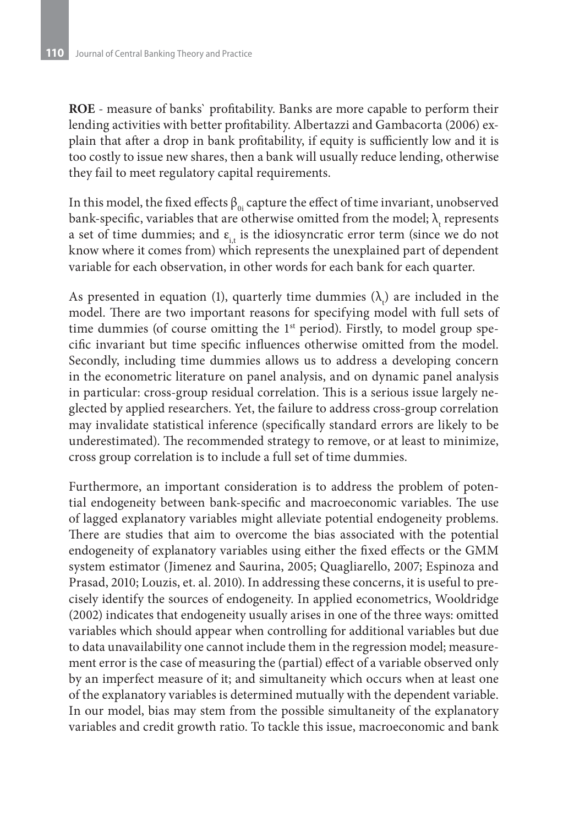**ROE** - measure of banks` profitability. Banks are more capable to perform their lending activities with better profitability. Albertazzi and Gambacorta (2006) explain that after a drop in bank profitability, if equity is sufficiently low and it is too costly to issue new shares, then a bank will usually reduce lending, otherwise they fail to meet regulatory capital requirements.

In this model, the fixed effects  $\beta_{0i}$  capture the effect of time invariant, unobserved bank-specific, variables that are otherwise omitted from the model;  $\lambda_{\rm t}$  represents a set of time dummies; and  $\varepsilon$ <sub>it</sub> is the idiosyncratic error term (since we do not know where it comes from) which represents the unexplained part of dependent variable for each observation, in other words for each bank for each quarter.

As presented in equation (1), quarterly time dummies  $(\lambda_t)$  are included in the model. There are two important reasons for specifying model with full sets of time dummies (of course omitting the 1<sup>st</sup> period). Firstly, to model group specific invariant but time specific influences otherwise omitted from the model. Secondly, including time dummies allows us to address a developing concern in the econometric literature on panel analysis, and on dynamic panel analysis in particular: cross-group residual correlation. This is a serious issue largely neglected by applied researchers. Yet, the failure to address cross-group correlation may invalidate statistical inference (specifically standard errors are likely to be underestimated). The recommended strategy to remove, or at least to minimize, cross group correlation is to include a full set of time dummies.

Furthermore, an important consideration is to address the problem of potential endogeneity between bank-specific and macroeconomic variables. The use of lagged explanatory variables might alleviate potential endogeneity problems. There are studies that aim to overcome the bias associated with the potential endogeneity of explanatory variables using either the fixed effects or the GMM system estimator (Jimenez and Saurina, 2005; Quagliarello, 2007; Espinoza and Prasad, 2010; Louzis, et. al. 2010). In addressing these concerns, it is useful to precisely identify the sources of endogeneity. In applied econometrics, Wooldridge (2002) indicates that endogeneity usually arises in one of the three ways: omitted variables which should appear when controlling for additional variables but due to data unavailability one cannot include them in the regression model; measurement error is the case of measuring the (partial) effect of a variable observed only by an imperfect measure of it; and simultaneity which occurs when at least one of the explanatory variables is determined mutually with the dependent variable. In our model, bias may stem from the possible simultaneity of the explanatory variables and credit growth ratio. To tackle this issue, macroeconomic and bank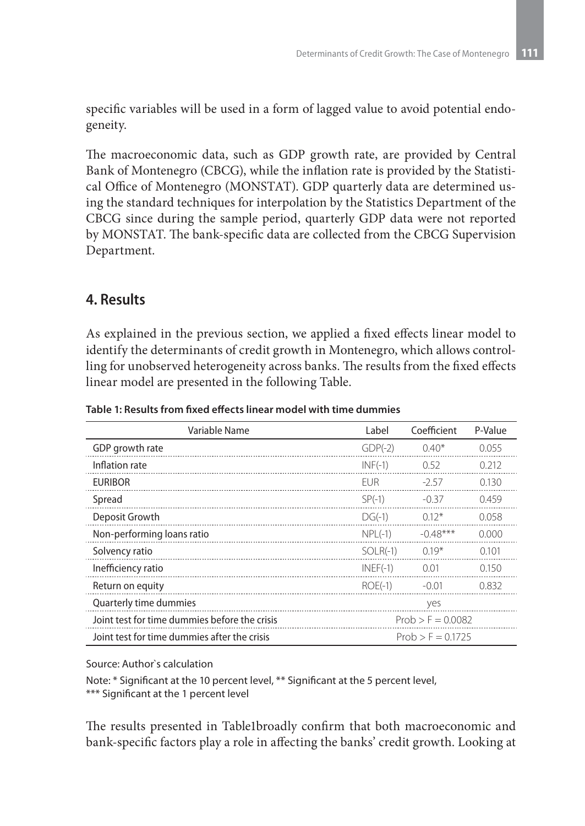specific variables will be used in a form of lagged value to avoid potential endogeneity.

The macroeconomic data, such as GDP growth rate, are provided by Central Bank of Montenegro (CBCG), while the inflation rate is provided by the Statistical Office of Montenegro (MONSTAT). GDP quarterly data are determined using the standard techniques for interpolation by the Statistics Department of the CBCG since during the sample period, quarterly GDP data were not reported by MONSTAT. The bank-specific data are collected from the CBCG Supervision Department.

## **4. Results**

As explained in the previous section, we applied a fixed effects linear model to identify the determinants of credit growth in Montenegro, which allows controlling for unobserved heterogeneity across banks. The results from the fixed effects linear model are presented in the following Table.

| Variable Name                                 | Label               | Coefficient | P-Value |  |
|-----------------------------------------------|---------------------|-------------|---------|--|
| GDP growth rate                               | $GDP(-2)$           | $0.40*$     | 0.055   |  |
| Inflation rate                                | $INF(-1)$           | 0.52        | 0.212   |  |
| <b>EURIBOR</b>                                | <b>FUR</b>          | $-257$      | 0.130   |  |
| Spread                                        | $SP(-1)$            | $-0.37$     | 0.459   |  |
| Deposit Growth                                | $DG(-1)$            | $012*$      | 0.058   |  |
| Non-performing loans ratio                    | $NPL(-1)$           | $-0.48***$  | 0.000   |  |
| Solvency ratio                                | $SOLR(-1)$          | $0.19*$     | 0.101   |  |
| Inefficiency ratio                            | $INEF(-1)$          | 0.01        | 0.150   |  |
| Return on equity                              | $ROE(-1)$           | $-0.01$     | 0.832   |  |
| Quarterly time dummies                        |                     | yes         |         |  |
| Joint test for time dummies before the crisis | $Prob > F = 0.0082$ |             |         |  |
| Joint test for time dummies after the crisis  | $Prob > F = 0.1725$ |             |         |  |

**Table 1: Results from fixed effects linear model with time dummies**

Source: Author`s calculation

Note: \* Significant at the 10 percent level, \*\* Significant at the 5 percent level, \*\*\* Significant at the 1 percent level

The results presented in Table1broadly confirm that both macroeconomic and bank-specific factors play a role in affecting the banks' credit growth. Looking at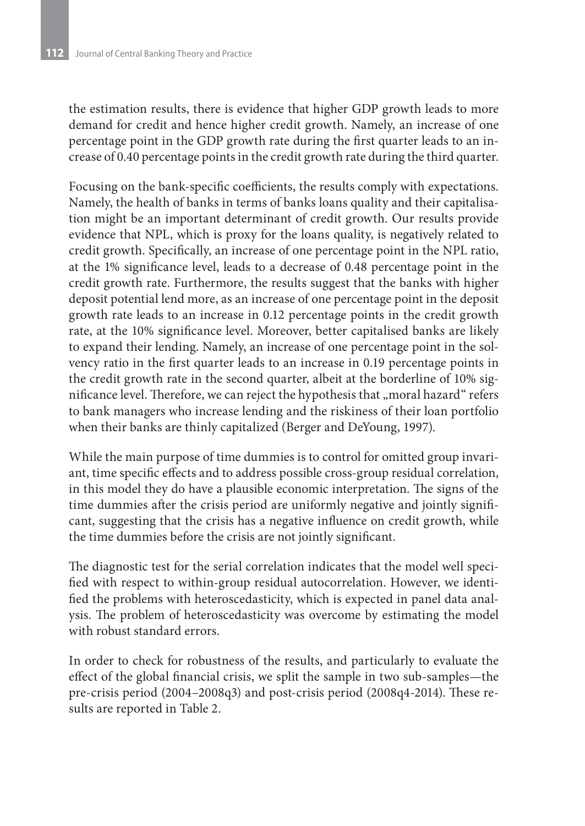the estimation results, there is evidence that higher GDP growth leads to more demand for credit and hence higher credit growth. Namely, an increase of one percentage point in the GDP growth rate during the first quarter leads to an increase of 0.40 percentage points in the credit growth rate during the third quarter.

Focusing on the bank-specific coefficients, the results comply with expectations. Namely, the health of banks in terms of banks loans quality and their capitalisation might be an important determinant of credit growth. Our results provide evidence that NPL, which is proxy for the loans quality, is negatively related to credit growth. Specifically, an increase of one percentage point in the NPL ratio, at the 1% significance level, leads to a decrease of 0.48 percentage point in the credit growth rate. Furthermore, the results suggest that the banks with higher deposit potential lend more, as an increase of one percentage point in the deposit growth rate leads to an increase in 0.12 percentage points in the credit growth rate, at the 10% significance level. Moreover, better capitalised banks are likely to expand their lending. Namely, an increase of one percentage point in the solvency ratio in the first quarter leads to an increase in 0.19 percentage points in the credit growth rate in the second quarter, albeit at the borderline of 10% significance level. Therefore, we can reject the hypothesis that "moral hazard" refers to bank managers who increase lending and the riskiness of their loan portfolio when their banks are thinly capitalized (Berger and DeYoung, 1997).

While the main purpose of time dummies is to control for omitted group invariant, time specific effects and to address possible cross-group residual correlation, in this model they do have a plausible economic interpretation. The signs of the time dummies after the crisis period are uniformly negative and jointly significant, suggesting that the crisis has a negative influence on credit growth, while the time dummies before the crisis are not jointly significant.

The diagnostic test for the serial correlation indicates that the model well specified with respect to within-group residual autocorrelation. However, we identified the problems with heteroscedasticity, which is expected in panel data analysis. The problem of heteroscedasticity was overcome by estimating the model with robust standard errors.

In order to check for robustness of the results, and particularly to evaluate the effect of the global financial crisis, we split the sample in two sub-samples—the pre-crisis period (2004–2008q3) and post-crisis period (2008q4-2014). These results are reported in Table 2.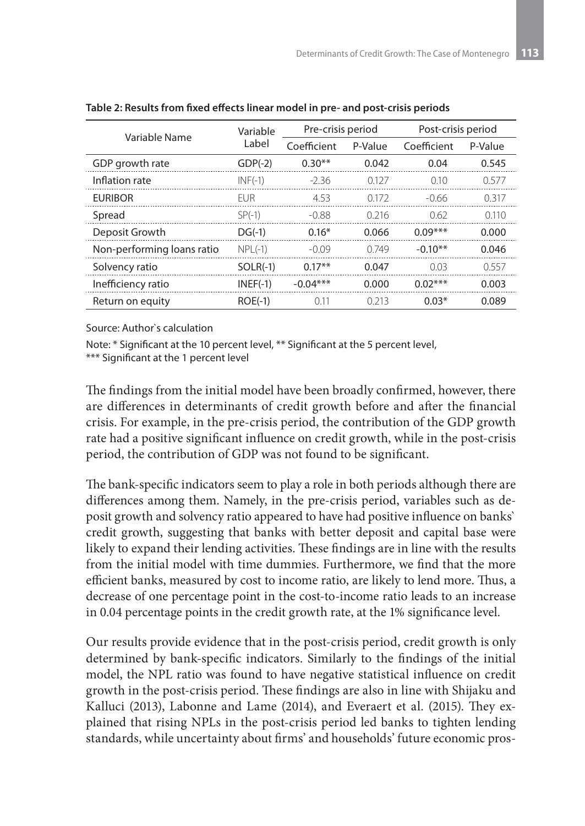| Variable Name              | Variable<br>Label | Pre-crisis period |         | Post-crisis period |         |
|----------------------------|-------------------|-------------------|---------|--------------------|---------|
|                            |                   | Coefficient       | P-Value | Coefficient        | P-Value |
| GDP growth rate            | $GDP(-2)$         | $0.30**$          | 0.042   | 0.04               | 0.545   |
| Inflation rate             | $INF(-1)$         | $-236$            | 0.127   | 010                | 0.577   |
| <b>EURIBOR</b>             | FUR.              | 4.53              | 0.172   | -0.66              | 0.317   |
| Spread                     | $SP(-1)$          | -0.88             | 0 216   | 0.62               | 0.110   |
| Deposit Growth             | $DG(-1)$          | $0.16*$           | 0.066   | $0.09***$          | 0.000   |
| Non-performing loans ratio | $NPL(-1)$         | $-0.09$           | 0.749   | $-0.10**$          | 0.046   |
| Solvency ratio             | $SOLR(-1)$        | $0.17**$          | 0.047   | 0.03               | 0.557   |
| Inefficiency ratio         | $INEF(-1)$        | $-0.04***$        | 0.000   | $0.02***$          | 0.003   |
| Return on equity           | $ROE(-1)$         | 0.11              | 0.213   | $0.03*$            | 0.089   |

**Table 2: Results from fixed effects linear model in pre- and post-crisis periods**

Source: Author`s calculation

Note: \* Significant at the 10 percent level, \*\* Significant at the 5 percent level,

\*\*\* Significant at the 1 percent level

The findings from the initial model have been broadly confirmed, however, there are differences in determinants of credit growth before and after the financial crisis. For example, in the pre-crisis period, the contribution of the GDP growth rate had a positive significant influence on credit growth, while in the post-crisis period, the contribution of GDP was not found to be significant.

The bank-specific indicators seem to play a role in both periods although there are differences among them. Namely, in the pre-crisis period, variables such as deposit growth and solvency ratio appeared to have had positive influence on banks` credit growth, suggesting that banks with better deposit and capital base were likely to expand their lending activities. These findings are in line with the results from the initial model with time dummies. Furthermore, we find that the more efficient banks, measured by cost to income ratio, are likely to lend more. Thus, a decrease of one percentage point in the cost-to-income ratio leads to an increase in 0.04 percentage points in the credit growth rate, at the 1% significance level.

Our results provide evidence that in the post-crisis period, credit growth is only determined by bank-specific indicators. Similarly to the findings of the initial model, the NPL ratio was found to have negative statistical influence on credit growth in the post-crisis period. These findings are also in line with Shijaku and Kalluci (2013), Labonne and Lame (2014), and Everaert et al. (2015). They explained that rising NPLs in the post-crisis period led banks to tighten lending standards, while uncertainty about firms' and households' future economic pros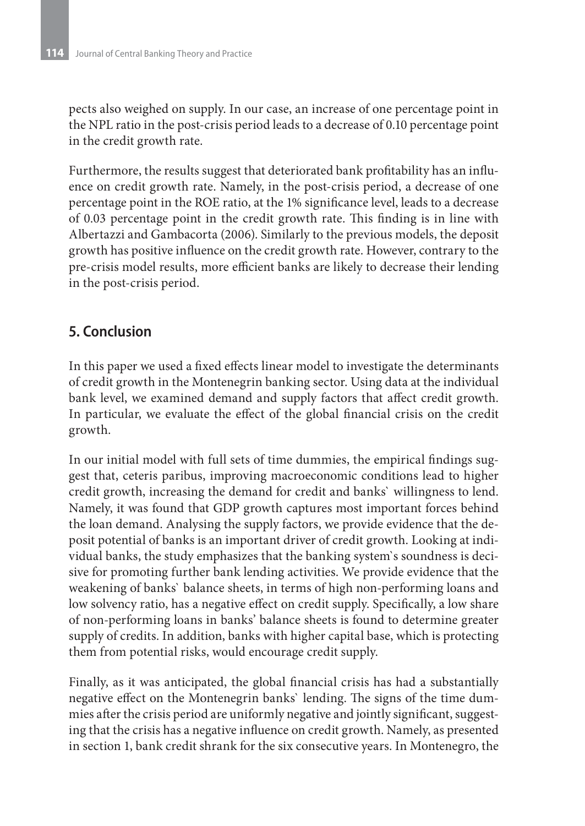pects also weighed on supply. In our case, an increase of one percentage point in the NPL ratio in the post-crisis period leads to a decrease of 0.10 percentage point in the credit growth rate.

Furthermore, the results suggest that deteriorated bank profitability has an influence on credit growth rate. Namely, in the post-crisis period, a decrease of one percentage point in the ROE ratio, at the 1% significance level, leads to a decrease of 0.03 percentage point in the credit growth rate. This finding is in line with Albertazzi and Gambacorta (2006). Similarly to the previous models, the deposit growth has positive influence on the credit growth rate. However, contrary to the pre-crisis model results, more efficient banks are likely to decrease their lending in the post-crisis period.

# **5. Conclusion**

In this paper we used a fixed effects linear model to investigate the determinants of credit growth in the Montenegrin banking sector. Using data at the individual bank level, we examined demand and supply factors that affect credit growth. In particular, we evaluate the effect of the global financial crisis on the credit growth.

In our initial model with full sets of time dummies, the empirical findings suggest that, ceteris paribus, improving macroeconomic conditions lead to higher credit growth, increasing the demand for credit and banks` willingness to lend. Namely, it was found that GDP growth captures most important forces behind the loan demand. Analysing the supply factors, we provide evidence that the deposit potential of banks is an important driver of credit growth. Looking at individual banks, the study emphasizes that the banking system`s soundness is decisive for promoting further bank lending activities. We provide evidence that the weakening of banks` balance sheets, in terms of high non-performing loans and low solvency ratio, has a negative effect on credit supply. Specifically, a low share of non-performing loans in banks' balance sheets is found to determine greater supply of credits. In addition, banks with higher capital base, which is protecting them from potential risks, would encourage credit supply.

Finally, as it was anticipated, the global financial crisis has had a substantially negative effect on the Montenegrin banks` lending. The signs of the time dummies after the crisis period are uniformly negative and jointly significant, suggesting that the crisis has a negative influence on credit growth. Namely, as presented in section 1, bank credit shrank for the six consecutive years. In Montenegro, the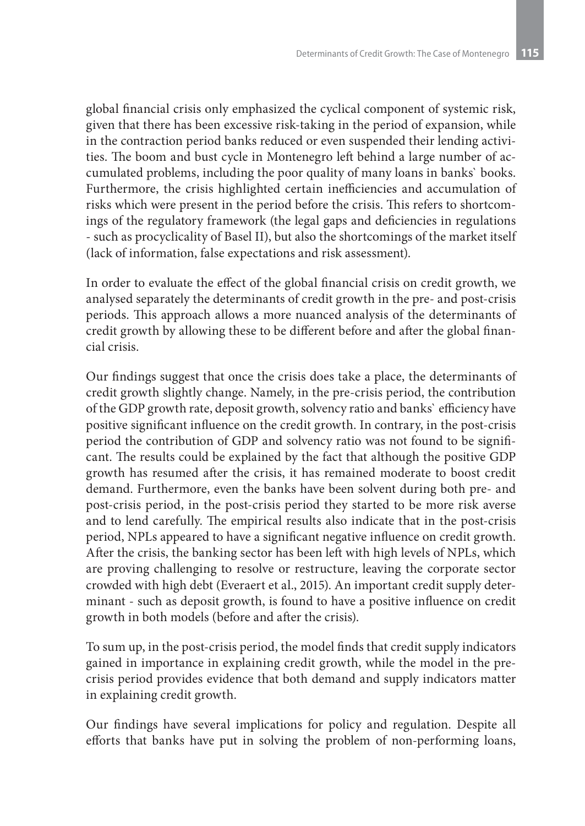global financial crisis only emphasized the cyclical component of systemic risk, given that there has been excessive risk-taking in the period of expansion, while in the contraction period banks reduced or even suspended their lending activities. The boom and bust cycle in Montenegro left behind a large number of accumulated problems, including the poor quality of many loans in banks` books. Furthermore, the crisis highlighted certain inefficiencies and accumulation of risks which were present in the period before the crisis. This refers to shortcomings of the regulatory framework (the legal gaps and deficiencies in regulations - such as procyclicality of Basel II), but also the shortcomings of the market itself (lack of information, false expectations and risk assessment).

In order to evaluate the effect of the global financial crisis on credit growth, we analysed separately the determinants of credit growth in the pre- and post-crisis periods. This approach allows a more nuanced analysis of the determinants of credit growth by allowing these to be different before and after the global financial crisis.

Our findings suggest that once the crisis does take a place, the determinants of credit growth slightly change. Namely, in the pre-crisis period, the contribution of the GDP growth rate, deposit growth, solvency ratio and banks` efficiency have positive significant influence on the credit growth. In contrary, in the post-crisis period the contribution of GDP and solvency ratio was not found to be significant. The results could be explained by the fact that although the positive GDP growth has resumed after the crisis, it has remained moderate to boost credit demand. Furthermore, even the banks have been solvent during both pre- and post-crisis period, in the post-crisis period they started to be more risk averse and to lend carefully. The empirical results also indicate that in the post-crisis period, NPLs appeared to have a significant negative influence on credit growth. After the crisis, the banking sector has been left with high levels of NPLs, which are proving challenging to resolve or restructure, leaving the corporate sector crowded with high debt (Everaert et al., 2015). An important credit supply determinant - such as deposit growth, is found to have a positive influence on credit growth in both models (before and after the crisis).

To sum up, in the post-crisis period, the model finds that credit supply indicators gained in importance in explaining credit growth, while the model in the precrisis period provides evidence that both demand and supply indicators matter in explaining credit growth.

Our findings have several implications for policy and regulation. Despite all efforts that banks have put in solving the problem of non-performing loans,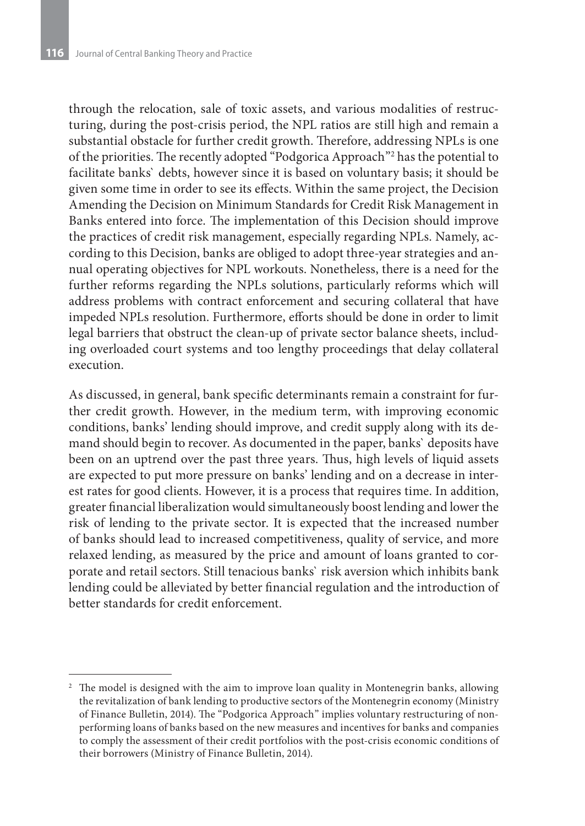through the relocation, sale of toxic assets, and various modalities of restructuring, during the post-crisis period, the NPL ratios are still high and remain a substantial obstacle for further credit growth. Therefore, addressing NPLs is one of the priorities. The recently adopted "Podgorica Approach"2 has the potential to facilitate banks` debts, however since it is based on voluntary basis; it should be given some time in order to see its effects. Within the same project, the Decision Amending the Decision on Minimum Standards for Credit Risk Management in Banks entered into force. The implementation of this Decision should improve the practices of credit risk management, especially regarding NPLs. Namely, according to this Decision, banks are obliged to adopt three-year strategies and annual operating objectives for NPL workouts. Nonetheless, there is a need for the further reforms regarding the NPLs solutions, particularly reforms which will address problems with contract enforcement and securing collateral that have impeded NPLs resolution. Furthermore, efforts should be done in order to limit legal barriers that obstruct the clean-up of private sector balance sheets, including overloaded court systems and too lengthy proceedings that delay collateral execution.

As discussed, in general, bank specific determinants remain a constraint for further credit growth. However, in the medium term, with improving economic conditions, banks' lending should improve, and credit supply along with its demand should begin to recover. As documented in the paper, banks` deposits have been on an uptrend over the past three years. Thus, high levels of liquid assets are expected to put more pressure on banks' lending and on a decrease in interest rates for good clients. However, it is a process that requires time. In addition, greater financial liberalization would simultaneously boost lending and lower the risk of lending to the private sector. It is expected that the increased number of banks should lead to increased competitiveness, quality of service, and more relaxed lending, as measured by the price and amount of loans granted to corporate and retail sectors. Still tenacious banks` risk aversion which inhibits bank lending could be alleviated by better financial regulation and the introduction of better standards for credit enforcement.

<sup>&</sup>lt;sup>2</sup> The model is designed with the aim to improve loan quality in Montenegrin banks, allowing the revitalization of bank lending to productive sectors of the Montenegrin economy (Ministry of Finance Bulletin, 2014). The "Podgorica Approach" implies voluntary restructuring of nonperforming loans of banks based on the new measures and incentives for banks and companies to comply the assessment of their credit portfolios with the post-crisis economic conditions of their borrowers (Ministry of Finance Bulletin, 2014).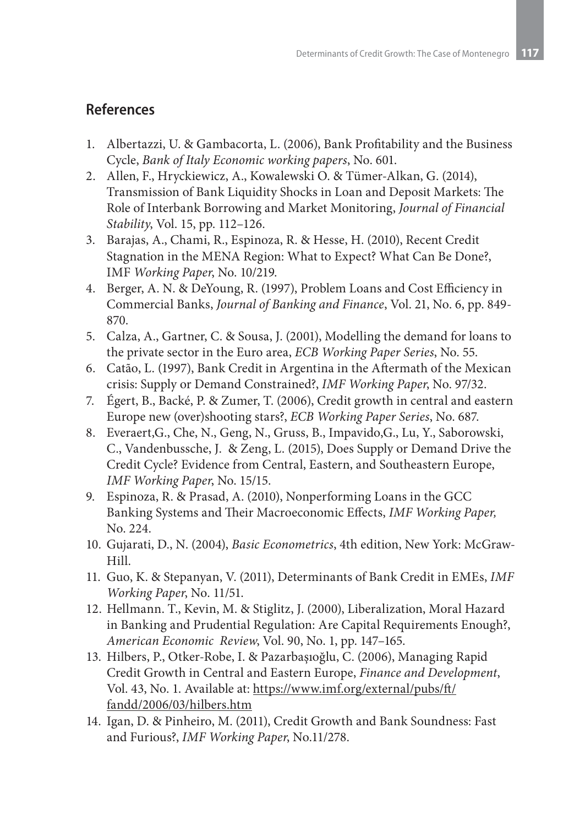## **References**

- 1. Albertazzi, U. & Gambacorta, L. (2006), Bank Profitability and the Business Cycle, *Bank of Italy Economic working papers*, No. 601.
- 2. Allen, F., Hryckiewicz, A., Kowalewski O. & Tümer-Alkan, G. (2014), Transmission of Bank Liquidity Shocks in Loan and Deposit Markets: The Role of Interbank Borrowing and Market Monitoring, *Journal of Financial Stability*, Vol. 15, pp. 112–126.
- 3. Barajas, A., Chami, R., Espinoza, R. & Hesse, H. (2010), Recent Credit Stagnation in the MENA Region: What to Expect? What Can Be Done?, IMF *Working Paper*, No. 10/219.
- 4. Berger, A. N. & DeYoung, R. (1997), Problem Loans and Cost Efficiency in Commercial Banks, *Journal of Banking and Finance*, Vol. 21, No. 6, pp. 849- 870.
- 5. Calza, A., Gartner, C. & Sousa, J. (2001), Modelling the demand for loans to the private sector in the Euro area, *ECB Working Paper Series*, No. 55.
- 6. Catão, L. (1997), Bank Credit in Argentina in the Aftermath of the Mexican crisis: Supply or Demand Constrained?, *IMF Working Paper*, No. 97/32.
- 7. Égert, B., Backé, P. & Zumer, T. (2006), Credit growth in central and eastern Europe new (over)shooting stars?, *ECB Working Paper Series*, No. 687.
- 8. Everaert,G., Che, N., Geng, N., Gruss, B., Impavido,G., Lu, Y., Saborowski, C., Vandenbussche, J. & Zeng, L. (2015), Does Supply or Demand Drive the Credit Cycle? Evidence from Central, Eastern, and Southeastern Europe, *IMF Working Paper*, No. 15/15.
- 9. Espinoza, R. & Prasad, A. (2010), Nonperforming Loans in the GCC Banking Systems and Their Macroeconomic Effects, *IMF Working Paper,*  No. 224.
- 10. Gujarati, D., N. (2004), *Basic Econometrics*, 4th edition, New York: McGraw-Hill.
- 11. Guo, K. & Stepanyan, V. (2011), Determinants of Bank Credit in EMEs, *IMF Working Paper*, No. 11/51.
- 12. Hellmann. T., Kevin, M. & Stiglitz, J. (2000), Liberalization, Moral Hazard in Banking and Prudential Regulation: Are Capital Requirements Enough?, *American Economic Review*, Vol. 90, No. 1, pp. 147–165.
- 13. Hilbers, P., Otker-Robe, I. & Pazarbaşıoğlu, C. (2006), Managing Rapid Credit Growth in Central and Eastern Europe, *Finance and Development*, Vol. 43, No. 1. Available at: https://www.imf.org/external/pubs/ft/ fandd/2006/03/hilbers.htm
- 14. Igan, D. & Pinheiro, M. (2011), Credit Growth and Bank Soundness: Fast and Furious?, *IMF Working Paper*, No.11/278.